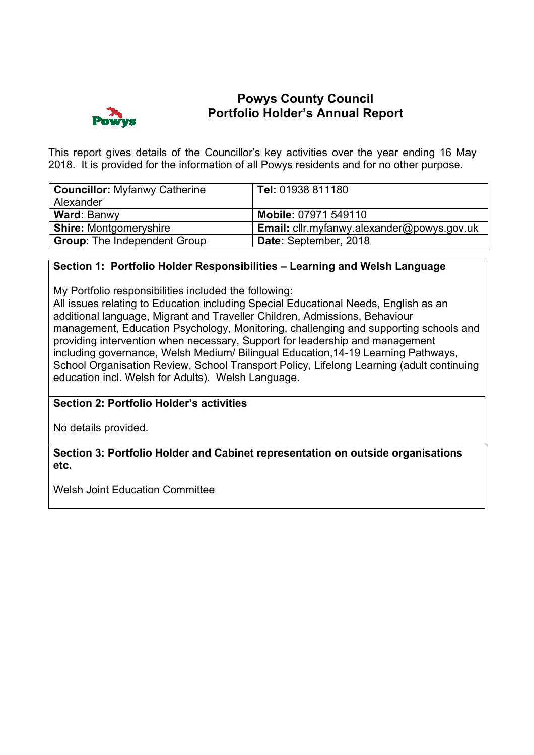

# **Powys County Council Portfolio Holder's Annual Report**

This report gives details of the Councillor's key activities over the year ending 16 May 2018. It is provided for the information of all Powys residents and for no other purpose.

| <b>Councillor: Myfanwy Catherine</b><br>Alexander | Tel: 01938 811180                                 |
|---------------------------------------------------|---------------------------------------------------|
| <b>Ward: Banwy</b>                                | Mobile: 07971 549110                              |
| <b>Shire: Montgomeryshire</b>                     | <b>Email:</b> cllr.myfanwy.alexander@powys.gov.uk |
| <b>Group: The Independent Group</b>               | Date: September, 2018                             |

### **Section 1: Portfolio Holder Responsibilities – Learning and Welsh Language**

My Portfolio responsibilities included the following:

All issues relating to Education including Special Educational Needs, English as an additional language, Migrant and Traveller Children, Admissions, Behaviour management, Education Psychology, Monitoring, challenging and supporting schools and providing intervention when necessary, Support for leadership and management including governance, Welsh Medium/ Bilingual Education,14-19 Learning Pathways, School Organisation Review, School Transport Policy, Lifelong Learning (adult continuing education incl. Welsh for Adults). Welsh Language.

## **Section 2: Portfolio Holder's activities**

No details provided.

**Section 3: Portfolio Holder and Cabinet representation on outside organisations etc.** 

Welsh Joint Education Committee